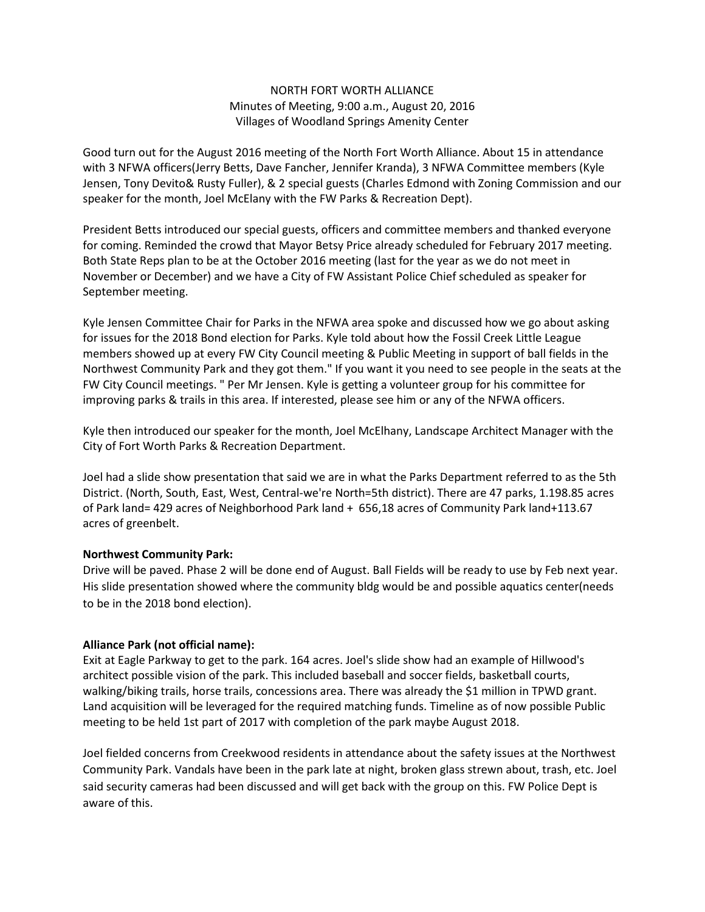## NORTH FORT WORTH ALLIANCE Minutes of Meeting, 9:00 a.m., August 20, 2016 Villages of Woodland Springs Amenity Center

Good turn out for the August 2016 meeting of the North Fort Worth Alliance. About 15 in attendance with 3 NFWA officers(Jerry Betts, Dave Fancher, Jennifer Kranda), 3 NFWA Committee members (Kyle Jensen, Tony Devito& Rusty Fuller), & 2 special guests (Charles Edmond with Zoning Commission and our speaker for the month, Joel McElany with the FW Parks & Recreation Dept).

President Betts introduced our special guests, officers and committee members and thanked everyone for coming. Reminded the crowd that Mayor Betsy Price already scheduled for February 2017 meeting. Both State Reps plan to be at the October 2016 meeting (last for the year as we do not meet in November or December) and we have a City of FW Assistant Police Chief scheduled as speaker for September meeting.

Kyle Jensen Committee Chair for Parks in the NFWA area spoke and discussed how we go about asking for issues for the 2018 Bond election for Parks. Kyle told about how the Fossil Creek Little League members showed up at every FW City Council meeting & Public Meeting in support of ball fields in the Northwest Community Park and they got them." If you want it you need to see people in the seats at the FW City Council meetings. " Per Mr Jensen. Kyle is getting a volunteer group for his committee for improving parks & trails in this area. If interested, please see him or any of the NFWA officers.

Kyle then introduced our speaker for the month, Joel McElhany, Landscape Architect Manager with the City of Fort Worth Parks & Recreation Department.

Joel had a slide show presentation that said we are in what the Parks Department referred to as the 5th District. (North, South, East, West, Central-we're North=5th district). There are 47 parks, 1.198.85 acres of Park land= 429 acres of Neighborhood Park land + 656,18 acres of Community Park land+113.67 acres of greenbelt.

## Northwest Community Park:

Drive will be paved. Phase 2 will be done end of August. Ball Fields will be ready to use by Feb next year. His slide presentation showed where the community bldg would be and possible aquatics center(needs to be in the 2018 bond election).

## Alliance Park (not official name):

Exit at Eagle Parkway to get to the park. 164 acres. Joel's slide show had an example of Hillwood's architect possible vision of the park. This included baseball and soccer fields, basketball courts, walking/biking trails, horse trails, concessions area. There was already the \$1 million in TPWD grant. Land acquisition will be leveraged for the required matching funds. Timeline as of now possible Public meeting to be held 1st part of 2017 with completion of the park maybe August 2018.

Joel fielded concerns from Creekwood residents in attendance about the safety issues at the Northwest Community Park. Vandals have been in the park late at night, broken glass strewn about, trash, etc. Joel said security cameras had been discussed and will get back with the group on this. FW Police Dept is aware of this.